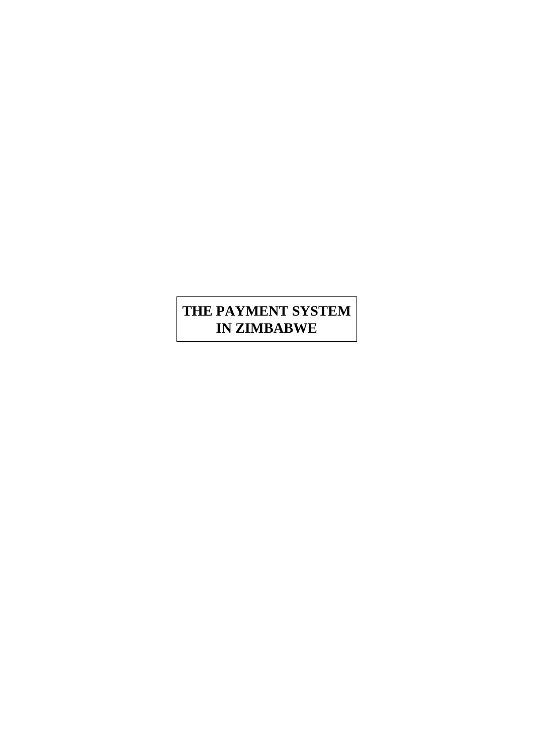# **THE PAYMENT SYSTEM IN ZIMBABWE**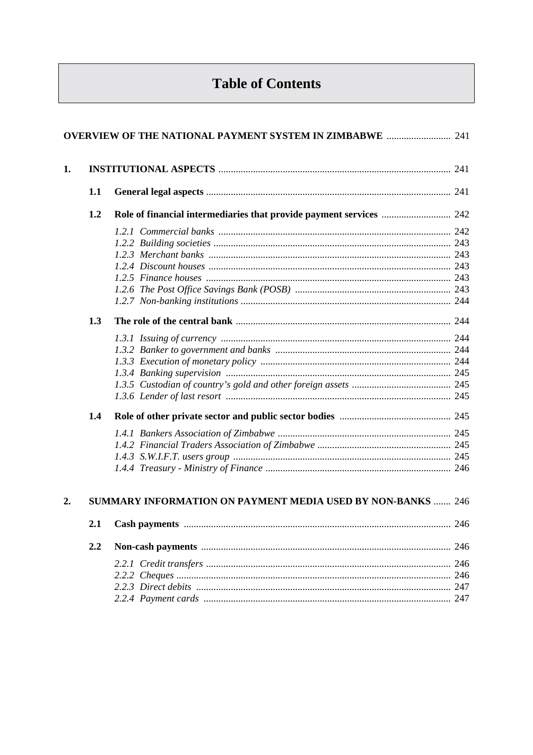# **Table of Contents**

| 1. |     |                                                                    |  |
|----|-----|--------------------------------------------------------------------|--|
|    | 1.1 |                                                                    |  |
|    | 1.2 |                                                                    |  |
|    |     |                                                                    |  |
|    |     |                                                                    |  |
|    |     |                                                                    |  |
|    |     |                                                                    |  |
|    |     |                                                                    |  |
|    |     |                                                                    |  |
|    |     |                                                                    |  |
|    | 1.3 |                                                                    |  |
|    |     |                                                                    |  |
|    |     |                                                                    |  |
|    |     |                                                                    |  |
|    |     |                                                                    |  |
|    |     |                                                                    |  |
|    | 1.4 |                                                                    |  |
|    |     |                                                                    |  |
|    |     |                                                                    |  |
|    |     |                                                                    |  |
|    |     |                                                                    |  |
| 2. |     | <b>SUMMARY INFORMATION ON PAYMENT MEDIA USED BY NON-BANKS  246</b> |  |
|    | 2.1 |                                                                    |  |
|    | 2.2 |                                                                    |  |
|    |     |                                                                    |  |
|    |     |                                                                    |  |
|    |     |                                                                    |  |
|    |     |                                                                    |  |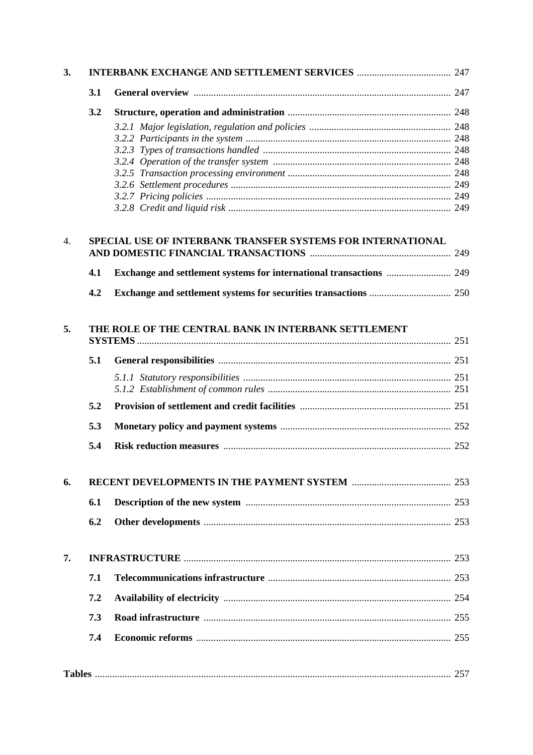| 3. |     |                                                             |  |
|----|-----|-------------------------------------------------------------|--|
|    | 3.1 |                                                             |  |
|    | 3.2 |                                                             |  |
|    |     |                                                             |  |
|    |     |                                                             |  |
|    |     |                                                             |  |
|    |     |                                                             |  |
|    |     |                                                             |  |
|    |     |                                                             |  |
|    |     |                                                             |  |
| 4. |     | SPECIAL USE OF INTERBANK TRANSFER SYSTEMS FOR INTERNATIONAL |  |
|    |     |                                                             |  |
|    | 4.1 |                                                             |  |
|    | 4.2 |                                                             |  |
| 5. |     | THE ROLE OF THE CENTRAL BANK IN INTERBANK SETTLEMENT        |  |
|    | 5.1 |                                                             |  |
|    |     |                                                             |  |
|    | 5.2 |                                                             |  |
|    | 5.3 |                                                             |  |
|    | 5.4 |                                                             |  |
| 6. |     |                                                             |  |
|    |     |                                                             |  |
|    | 6.1 |                                                             |  |
|    | 6.2 |                                                             |  |
| 7. |     |                                                             |  |
|    | 7.1 |                                                             |  |
|    | 7.2 |                                                             |  |
|    | 7.3 |                                                             |  |
|    | 7.4 |                                                             |  |
|    |     |                                                             |  |
|    |     |                                                             |  |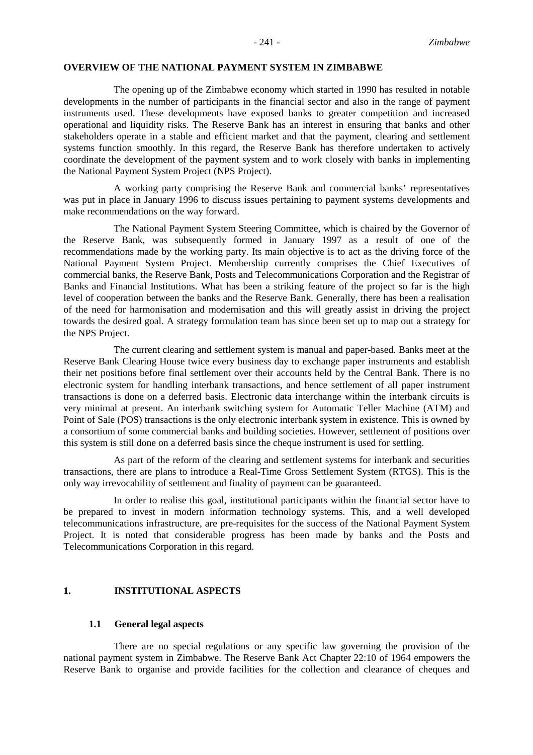#### **OVERVIEW OF THE NATIONAL PAYMENT SYSTEM IN ZIMBABWE**

The opening up of the Zimbabwe economy which started in 1990 has resulted in notable developments in the number of participants in the financial sector and also in the range of payment instruments used. These developments have exposed banks to greater competition and increased operational and liquidity risks. The Reserve Bank has an interest in ensuring that banks and other stakeholders operate in a stable and efficient market and that the payment, clearing and settlement systems function smoothly. In this regard, the Reserve Bank has therefore undertaken to actively coordinate the development of the payment system and to work closely with banks in implementing the National Payment System Project (NPS Project).

A working party comprising the Reserve Bank and commercial banks' representatives was put in place in January 1996 to discuss issues pertaining to payment systems developments and make recommendations on the way forward.

The National Payment System Steering Committee, which is chaired by the Governor of the Reserve Bank, was subsequently formed in January 1997 as a result of one of the recommendations made by the working party. Its main objective is to act as the driving force of the National Payment System Project. Membership currently comprises the Chief Executives of commercial banks, the Reserve Bank, Posts and Telecommunications Corporation and the Registrar of Banks and Financial Institutions. What has been a striking feature of the project so far is the high level of cooperation between the banks and the Reserve Bank. Generally, there has been a realisation of the need for harmonisation and modernisation and this will greatly assist in driving the project towards the desired goal. A strategy formulation team has since been set up to map out a strategy for the NPS Project.

The current clearing and settlement system is manual and paper-based. Banks meet at the Reserve Bank Clearing House twice every business day to exchange paper instruments and establish their net positions before final settlement over their accounts held by the Central Bank. There is no electronic system for handling interbank transactions, and hence settlement of all paper instrument transactions is done on a deferred basis. Electronic data interchange within the interbank circuits is very minimal at present. An interbank switching system for Automatic Teller Machine (ATM) and Point of Sale (POS) transactions is the only electronic interbank system in existence. This is owned by a consortium of some commercial banks and building societies. However, settlement of positions over this system is still done on a deferred basis since the cheque instrument is used for settling.

As part of the reform of the clearing and settlement systems for interbank and securities transactions, there are plans to introduce a Real-Time Gross Settlement System (RTGS). This is the only way irrevocability of settlement and finality of payment can be guaranteed.

In order to realise this goal, institutional participants within the financial sector have to be prepared to invest in modern information technology systems. This, and a well developed telecommunications infrastructure, are pre-requisites for the success of the National Payment System Project. It is noted that considerable progress has been made by banks and the Posts and Telecommunications Corporation in this regard.

#### **1. INSTITUTIONAL ASPECTS**

#### **1.1 General legal aspects**

There are no special regulations or any specific law governing the provision of the national payment system in Zimbabwe. The Reserve Bank Act Chapter 22:10 of 1964 empowers the Reserve Bank to organise and provide facilities for the collection and clearance of cheques and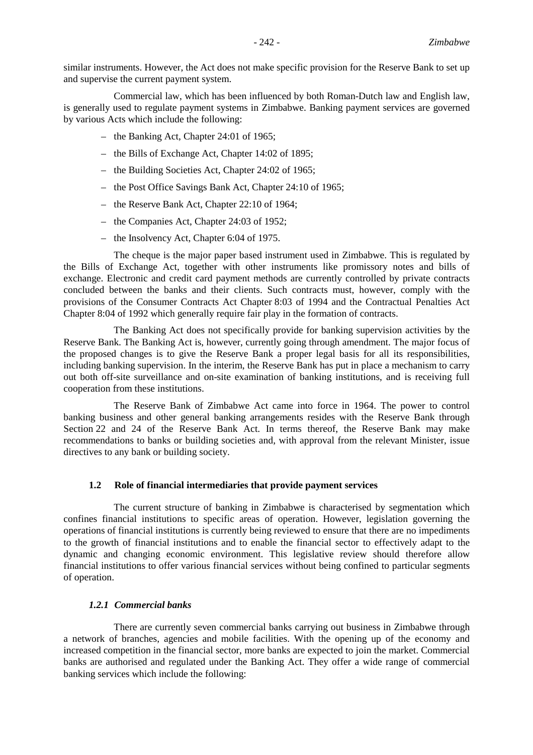similar instruments. However, the Act does not make specific provision for the Reserve Bank to set up and supervise the current payment system.

Commercial law, which has been influenced by both Roman-Dutch law and English law, is generally used to regulate payment systems in Zimbabwe. Banking payment services are governed by various Acts which include the following:

- the Banking Act, Chapter 24:01 of 1965;
- the Bills of Exchange Act, Chapter 14:02 of 1895;
- the Building Societies Act, Chapter 24:02 of 1965;
- the Post Office Savings Bank Act, Chapter 24:10 of 1965;
- the Reserve Bank Act, Chapter 22:10 of 1964;
- the Companies Act, Chapter 24:03 of 1952;
- the Insolvency Act, Chapter 6:04 of 1975.

The cheque is the major paper based instrument used in Zimbabwe. This is regulated by the Bills of Exchange Act, together with other instruments like promissory notes and bills of exchange. Electronic and credit card payment methods are currently controlled by private contracts concluded between the banks and their clients. Such contracts must, however, comply with the provisions of the Consumer Contracts Act Chapter 8:03 of 1994 and the Contractual Penalties Act Chapter 8:04 of 1992 which generally require fair play in the formation of contracts.

The Banking Act does not specifically provide for banking supervision activities by the Reserve Bank. The Banking Act is, however, currently going through amendment. The major focus of the proposed changes is to give the Reserve Bank a proper legal basis for all its responsibilities, including banking supervision. In the interim, the Reserve Bank has put in place a mechanism to carry out both off-site surveillance and on-site examination of banking institutions, and is receiving full cooperation from these institutions.

The Reserve Bank of Zimbabwe Act came into force in 1964. The power to control banking business and other general banking arrangements resides with the Reserve Bank through Section 22 and 24 of the Reserve Bank Act. In terms thereof, the Reserve Bank may make recommendations to banks or building societies and, with approval from the relevant Minister, issue directives to any bank or building society.

#### **1.2 Role of financial intermediaries that provide payment services**

The current structure of banking in Zimbabwe is characterised by segmentation which confines financial institutions to specific areas of operation. However, legislation governing the operations of financial institutions is currently being reviewed to ensure that there are no impediments to the growth of financial institutions and to enable the financial sector to effectively adapt to the dynamic and changing economic environment. This legislative review should therefore allow financial institutions to offer various financial services without being confined to particular segments of operation.

#### *1.2.1 Commercial banks*

There are currently seven commercial banks carrying out business in Zimbabwe through a network of branches, agencies and mobile facilities. With the opening up of the economy and increased competition in the financial sector, more banks are expected to join the market. Commercial banks are authorised and regulated under the Banking Act. They offer a wide range of commercial banking services which include the following: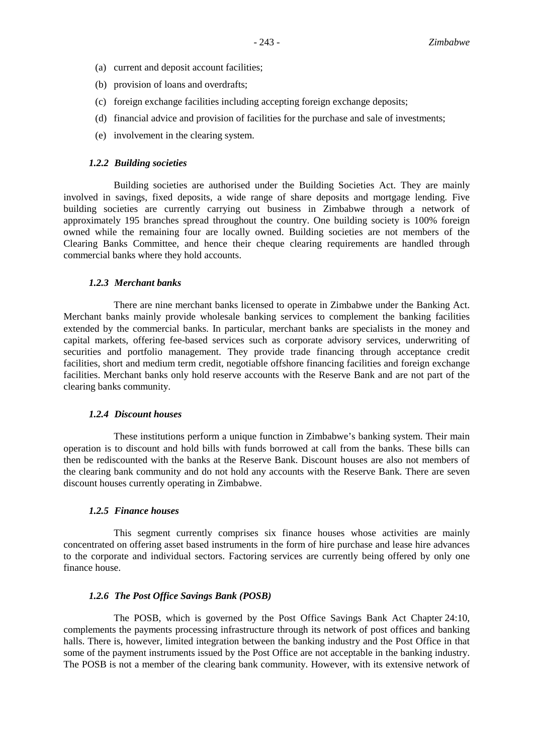- (a) current and deposit account facilities;
- (b) provision of loans and overdrafts;
- (c) foreign exchange facilities including accepting foreign exchange deposits;
- (d) financial advice and provision of facilities for the purchase and sale of investments;
- (e) involvement in the clearing system.

#### *1.2.2 Building societies*

Building societies are authorised under the Building Societies Act. They are mainly involved in savings, fixed deposits, a wide range of share deposits and mortgage lending. Five building societies are currently carrying out business in Zimbabwe through a network of approximately 195 branches spread throughout the country. One building society is 100% foreign owned while the remaining four are locally owned. Building societies are not members of the Clearing Banks Committee, and hence their cheque clearing requirements are handled through commercial banks where they hold accounts.

#### *1.2.3 Merchant banks*

There are nine merchant banks licensed to operate in Zimbabwe under the Banking Act. Merchant banks mainly provide wholesale banking services to complement the banking facilities extended by the commercial banks. In particular, merchant banks are specialists in the money and capital markets, offering fee-based services such as corporate advisory services, underwriting of securities and portfolio management. They provide trade financing through acceptance credit facilities, short and medium term credit, negotiable offshore financing facilities and foreign exchange facilities. Merchant banks only hold reserve accounts with the Reserve Bank and are not part of the clearing banks community.

#### *1.2.4 Discount houses*

These institutions perform a unique function in Zimbabwe's banking system. Their main operation is to discount and hold bills with funds borrowed at call from the banks. These bills can then be rediscounted with the banks at the Reserve Bank. Discount houses are also not members of the clearing bank community and do not hold any accounts with the Reserve Bank. There are seven discount houses currently operating in Zimbabwe.

#### *1.2.5 Finance houses*

This segment currently comprises six finance houses whose activities are mainly concentrated on offering asset based instruments in the form of hire purchase and lease hire advances to the corporate and individual sectors. Factoring services are currently being offered by only one finance house.

#### *1.2.6 The Post Office Savings Bank (POSB)*

The POSB, which is governed by the Post Office Savings Bank Act Chapter 24:10, complements the payments processing infrastructure through its network of post offices and banking halls. There is, however, limited integration between the banking industry and the Post Office in that some of the payment instruments issued by the Post Office are not acceptable in the banking industry. The POSB is not a member of the clearing bank community. However, with its extensive network of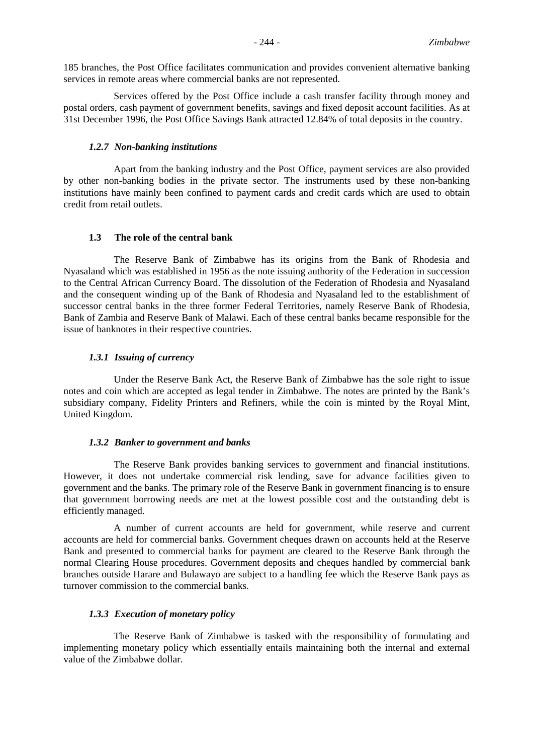185 branches, the Post Office facilitates communication and provides convenient alternative banking services in remote areas where commercial banks are not represented.

Services offered by the Post Office include a cash transfer facility through money and postal orders, cash payment of government benefits, savings and fixed deposit account facilities. As at 31st December 1996, the Post Office Savings Bank attracted 12.84% of total deposits in the country.

#### *1.2.7 Non-banking institutions*

Apart from the banking industry and the Post Office, payment services are also provided by other non-banking bodies in the private sector. The instruments used by these non-banking institutions have mainly been confined to payment cards and credit cards which are used to obtain credit from retail outlets.

#### **1.3 The role of the central bank**

The Reserve Bank of Zimbabwe has its origins from the Bank of Rhodesia and Nyasaland which was established in 1956 as the note issuing authority of the Federation in succession to the Central African Currency Board. The dissolution of the Federation of Rhodesia and Nyasaland and the consequent winding up of the Bank of Rhodesia and Nyasaland led to the establishment of successor central banks in the three former Federal Territories, namely Reserve Bank of Rhodesia, Bank of Zambia and Reserve Bank of Malawi. Each of these central banks became responsible for the issue of banknotes in their respective countries.

## *1.3.1 Issuing of currency*

Under the Reserve Bank Act, the Reserve Bank of Zimbabwe has the sole right to issue notes and coin which are accepted as legal tender in Zimbabwe. The notes are printed by the Bank's subsidiary company, Fidelity Printers and Refiners, while the coin is minted by the Royal Mint, United Kingdom.

#### *1.3.2 Banker to government and banks*

The Reserve Bank provides banking services to government and financial institutions. However, it does not undertake commercial risk lending, save for advance facilities given to government and the banks. The primary role of the Reserve Bank in government financing is to ensure that government borrowing needs are met at the lowest possible cost and the outstanding debt is efficiently managed.

A number of current accounts are held for government, while reserve and current accounts are held for commercial banks. Government cheques drawn on accounts held at the Reserve Bank and presented to commercial banks for payment are cleared to the Reserve Bank through the normal Clearing House procedures. Government deposits and cheques handled by commercial bank branches outside Harare and Bulawayo are subject to a handling fee which the Reserve Bank pays as turnover commission to the commercial banks.

## *1.3.3 Execution of monetary policy*

The Reserve Bank of Zimbabwe is tasked with the responsibility of formulating and implementing monetary policy which essentially entails maintaining both the internal and external value of the Zimbabwe dollar.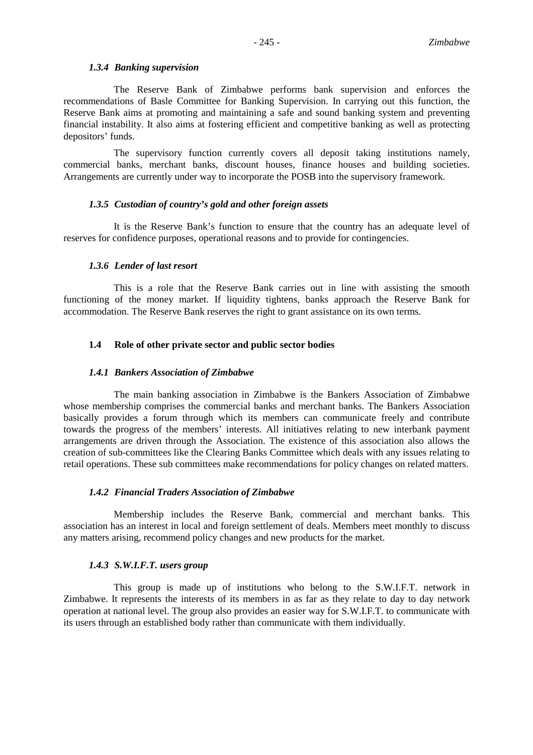#### *1.3.4 Banking supervision*

The Reserve Bank of Zimbabwe performs bank supervision and enforces the recommendations of Basle Committee for Banking Supervision. In carrying out this function, the Reserve Bank aims at promoting and maintaining a safe and sound banking system and preventing financial instability. It also aims at fostering efficient and competitive banking as well as protecting depositors' funds.

The supervisory function currently covers all deposit taking institutions namely, commercial banks, merchant banks, discount houses, finance houses and building societies. Arrangements are currently under way to incorporate the POSB into the supervisory framework.

#### *1.3.5 Custodian of country's gold and other foreign assets*

It is the Reserve Bank's function to ensure that the country has an adequate level of reserves for confidence purposes, operational reasons and to provide for contingencies.

#### *1.3.6 Lender of last resort*

This is a role that the Reserve Bank carries out in line with assisting the smooth functioning of the money market. If liquidity tightens, banks approach the Reserve Bank for accommodation. The Reserve Bank reserves the right to grant assistance on its own terms.

#### **1.4 Role of other private sector and public sector bodies**

#### *1.4.1 Bankers Association of Zimbabwe*

The main banking association in Zimbabwe is the Bankers Association of Zimbabwe whose membership comprises the commercial banks and merchant banks. The Bankers Association basically provides a forum through which its members can communicate freely and contribute towards the progress of the members' interests. All initiatives relating to new interbank payment arrangements are driven through the Association. The existence of this association also allows the creation of sub-committees like the Clearing Banks Committee which deals with any issues relating to retail operations. These sub committees make recommendations for policy changes on related matters.

#### *1.4.2 Financial Traders Association of Zimbabwe*

Membership includes the Reserve Bank, commercial and merchant banks. This association has an interest in local and foreign settlement of deals. Members meet monthly to discuss any matters arising, recommend policy changes and new products for the market.

#### *1.4.3 S.W.I.F.T. users group*

This group is made up of institutions who belong to the S.W.I.F.T. network in Zimbabwe. It represents the interests of its members in as far as they relate to day to day network operation at national level. The group also provides an easier way for S.W.I.F.T. to communicate with its users through an established body rather than communicate with them individually.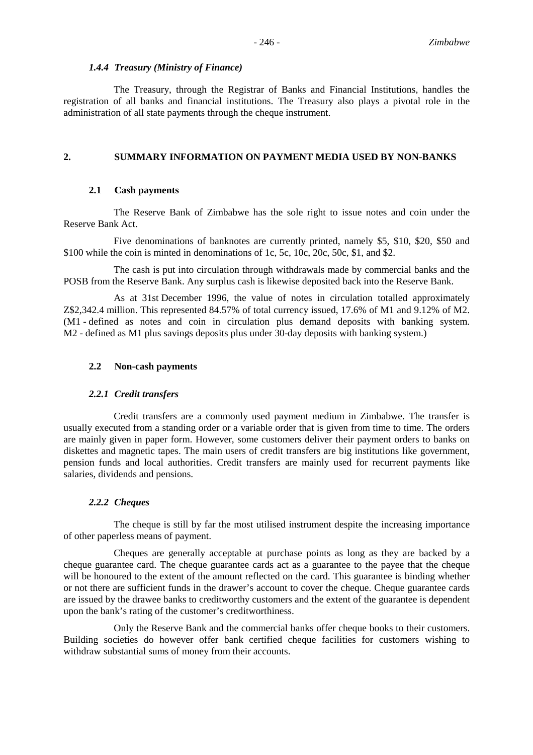#### *1.4.4 Treasury (Ministry of Finance)*

The Treasury, through the Registrar of Banks and Financial Institutions, handles the registration of all banks and financial institutions. The Treasury also plays a pivotal role in the administration of all state payments through the cheque instrument.

## **2. SUMMARY INFORMATION ON PAYMENT MEDIA USED BY NON-BANKS**

#### **2.1 Cash payments**

The Reserve Bank of Zimbabwe has the sole right to issue notes and coin under the Reserve Bank Act.

Five denominations of banknotes are currently printed, namely \$5, \$10, \$20, \$50 and \$100 while the coin is minted in denominations of 1c, 5c, 10c, 20c, 50c, \$1, and \$2.

The cash is put into circulation through withdrawals made by commercial banks and the POSB from the Reserve Bank. Any surplus cash is likewise deposited back into the Reserve Bank.

As at 31st December 1996, the value of notes in circulation totalled approximately Z\$2,342.4 million. This represented 84.57% of total currency issued, 17.6% of M1 and 9.12% of M2. (M1 - defined as notes and coin in circulation plus demand deposits with banking system. M2 - defined as M1 plus savings deposits plus under 30-day deposits with banking system.)

#### **2.2 Non-cash payments**

#### *2.2.1 Credit transfers*

Credit transfers are a commonly used payment medium in Zimbabwe. The transfer is usually executed from a standing order or a variable order that is given from time to time. The orders are mainly given in paper form. However, some customers deliver their payment orders to banks on diskettes and magnetic tapes. The main users of credit transfers are big institutions like government, pension funds and local authorities. Credit transfers are mainly used for recurrent payments like salaries, dividends and pensions.

#### *2.2.2 Cheques*

The cheque is still by far the most utilised instrument despite the increasing importance of other paperless means of payment.

Cheques are generally acceptable at purchase points as long as they are backed by a cheque guarantee card. The cheque guarantee cards act as a guarantee to the payee that the cheque will be honoured to the extent of the amount reflected on the card. This guarantee is binding whether or not there are sufficient funds in the drawer's account to cover the cheque. Cheque guarantee cards are issued by the drawee banks to creditworthy customers and the extent of the guarantee is dependent upon the bank's rating of the customer's creditworthiness.

Only the Reserve Bank and the commercial banks offer cheque books to their customers. Building societies do however offer bank certified cheque facilities for customers wishing to withdraw substantial sums of money from their accounts.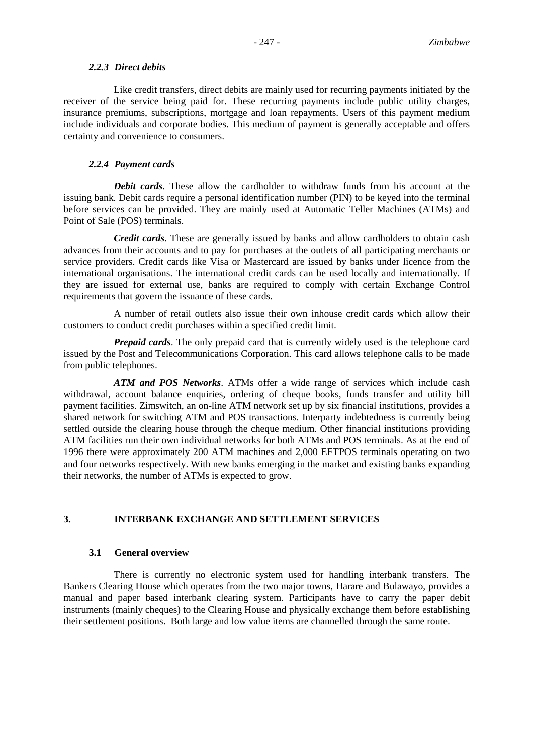### *2.2.3 Direct debits*

Like credit transfers, direct debits are mainly used for recurring payments initiated by the receiver of the service being paid for. These recurring payments include public utility charges, insurance premiums, subscriptions, mortgage and loan repayments. Users of this payment medium include individuals and corporate bodies. This medium of payment is generally acceptable and offers certainty and convenience to consumers.

## *2.2.4 Payment cards*

*Debit cards*. These allow the cardholder to withdraw funds from his account at the issuing bank. Debit cards require a personal identification number (PIN) to be keyed into the terminal before services can be provided. They are mainly used at Automatic Teller Machines (ATMs) and Point of Sale (POS) terminals.

*Credit cards*. These are generally issued by banks and allow cardholders to obtain cash advances from their accounts and to pay for purchases at the outlets of all participating merchants or service providers. Credit cards like Visa or Mastercard are issued by banks under licence from the international organisations. The international credit cards can be used locally and internationally. If they are issued for external use, banks are required to comply with certain Exchange Control requirements that govern the issuance of these cards.

A number of retail outlets also issue their own inhouse credit cards which allow their customers to conduct credit purchases within a specified credit limit.

*Prepaid cards*. The only prepaid card that is currently widely used is the telephone card issued by the Post and Telecommunications Corporation. This card allows telephone calls to be made from public telephones.

*ATM and POS Networks*. ATMs offer a wide range of services which include cash withdrawal, account balance enquiries, ordering of cheque books, funds transfer and utility bill payment facilities. Zimswitch, an on-line ATM network set up by six financial institutions, provides a shared network for switching ATM and POS transactions. Interparty indebtedness is currently being settled outside the clearing house through the cheque medium. Other financial institutions providing ATM facilities run their own individual networks for both ATMs and POS terminals. As at the end of 1996 there were approximately 200 ATM machines and 2,000 EFTPOS terminals operating on two and four networks respectively. With new banks emerging in the market and existing banks expanding their networks, the number of ATMs is expected to grow.

## **3. INTERBANK EXCHANGE AND SETTLEMENT SERVICES**

## **3.1 General overview**

There is currently no electronic system used for handling interbank transfers. The Bankers Clearing House which operates from the two major towns, Harare and Bulawayo, provides a manual and paper based interbank clearing system. Participants have to carry the paper debit instruments (mainly cheques) to the Clearing House and physically exchange them before establishing their settlement positions. Both large and low value items are channelled through the same route.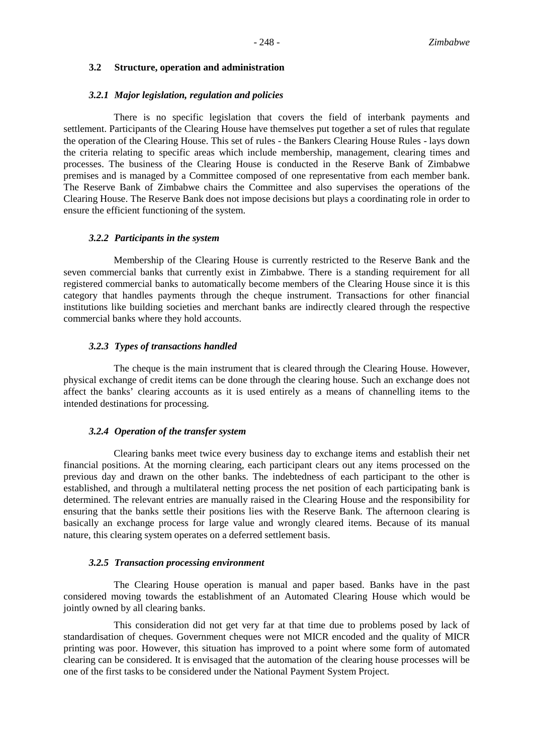#### **3.2 Structure, operation and administration**

#### *3.2.1 Major legislation, regulation and policies*

There is no specific legislation that covers the field of interbank payments and settlement. Participants of the Clearing House have themselves put together a set of rules that regulate the operation of the Clearing House. This set of rules - the Bankers Clearing House Rules - lays down the criteria relating to specific areas which include membership, management, clearing times and processes. The business of the Clearing House is conducted in the Reserve Bank of Zimbabwe premises and is managed by a Committee composed of one representative from each member bank. The Reserve Bank of Zimbabwe chairs the Committee and also supervises the operations of the Clearing House. The Reserve Bank does not impose decisions but plays a coordinating role in order to ensure the efficient functioning of the system.

#### *3.2.2 Participants in the system*

Membership of the Clearing House is currently restricted to the Reserve Bank and the seven commercial banks that currently exist in Zimbabwe. There is a standing requirement for all registered commercial banks to automatically become members of the Clearing House since it is this category that handles payments through the cheque instrument. Transactions for other financial institutions like building societies and merchant banks are indirectly cleared through the respective commercial banks where they hold accounts.

#### *3.2.3 Types of transactions handled*

The cheque is the main instrument that is cleared through the Clearing House. However, physical exchange of credit items can be done through the clearing house. Such an exchange does not affect the banks' clearing accounts as it is used entirely as a means of channelling items to the intended destinations for processing.

#### *3.2.4 Operation of the transfer system*

Clearing banks meet twice every business day to exchange items and establish their net financial positions. At the morning clearing, each participant clears out any items processed on the previous day and drawn on the other banks. The indebtedness of each participant to the other is established, and through a multilateral netting process the net position of each participating bank is determined. The relevant entries are manually raised in the Clearing House and the responsibility for ensuring that the banks settle their positions lies with the Reserve Bank. The afternoon clearing is basically an exchange process for large value and wrongly cleared items. Because of its manual nature, this clearing system operates on a deferred settlement basis.

#### *3.2.5 Transaction processing environment*

The Clearing House operation is manual and paper based. Banks have in the past considered moving towards the establishment of an Automated Clearing House which would be jointly owned by all clearing banks.

This consideration did not get very far at that time due to problems posed by lack of standardisation of cheques. Government cheques were not MICR encoded and the quality of MICR printing was poor. However, this situation has improved to a point where some form of automated clearing can be considered. It is envisaged that the automation of the clearing house processes will be one of the first tasks to be considered under the National Payment System Project.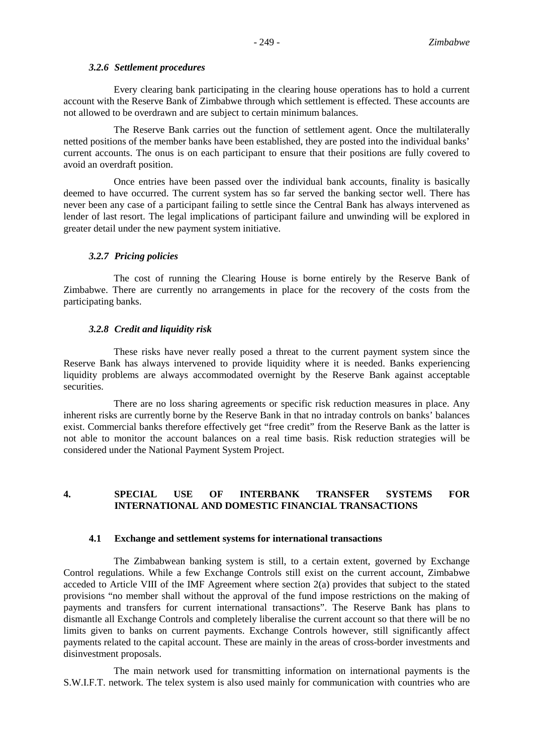#### *3.2.6 Settlement procedures*

Every clearing bank participating in the clearing house operations has to hold a current account with the Reserve Bank of Zimbabwe through which settlement is effected. These accounts are not allowed to be overdrawn and are subject to certain minimum balances.

The Reserve Bank carries out the function of settlement agent. Once the multilaterally netted positions of the member banks have been established, they are posted into the individual banks' current accounts. The onus is on each participant to ensure that their positions are fully covered to avoid an overdraft position.

Once entries have been passed over the individual bank accounts, finality is basically deemed to have occurred. The current system has so far served the banking sector well. There has never been any case of a participant failing to settle since the Central Bank has always intervened as lender of last resort. The legal implications of participant failure and unwinding will be explored in greater detail under the new payment system initiative.

#### *3.2.7 Pricing policies*

The cost of running the Clearing House is borne entirely by the Reserve Bank of Zimbabwe. There are currently no arrangements in place for the recovery of the costs from the participating banks.

#### *3.2.8 Credit and liquidity risk*

These risks have never really posed a threat to the current payment system since the Reserve Bank has always intervened to provide liquidity where it is needed. Banks experiencing liquidity problems are always accommodated overnight by the Reserve Bank against acceptable securities.

There are no loss sharing agreements or specific risk reduction measures in place. Any inherent risks are currently borne by the Reserve Bank in that no intraday controls on banks' balances exist. Commercial banks therefore effectively get "free credit" from the Reserve Bank as the latter is not able to monitor the account balances on a real time basis. Risk reduction strategies will be considered under the National Payment System Project.

## **4. SPECIAL USE OF INTERBANK TRANSFER SYSTEMS FOR INTERNATIONAL AND DOMESTIC FINANCIAL TRANSACTIONS**

#### **4.1 Exchange and settlement systems for international transactions**

The Zimbabwean banking system is still, to a certain extent, governed by Exchange Control regulations. While a few Exchange Controls still exist on the current account, Zimbabwe acceded to Article VIII of the IMF Agreement where section 2(a) provides that subject to the stated provisions "no member shall without the approval of the fund impose restrictions on the making of payments and transfers for current international transactions". The Reserve Bank has plans to dismantle all Exchange Controls and completely liberalise the current account so that there will be no limits given to banks on current payments. Exchange Controls however, still significantly affect payments related to the capital account. These are mainly in the areas of cross-border investments and disinvestment proposals.

The main network used for transmitting information on international payments is the S.W.I.F.T. network. The telex system is also used mainly for communication with countries who are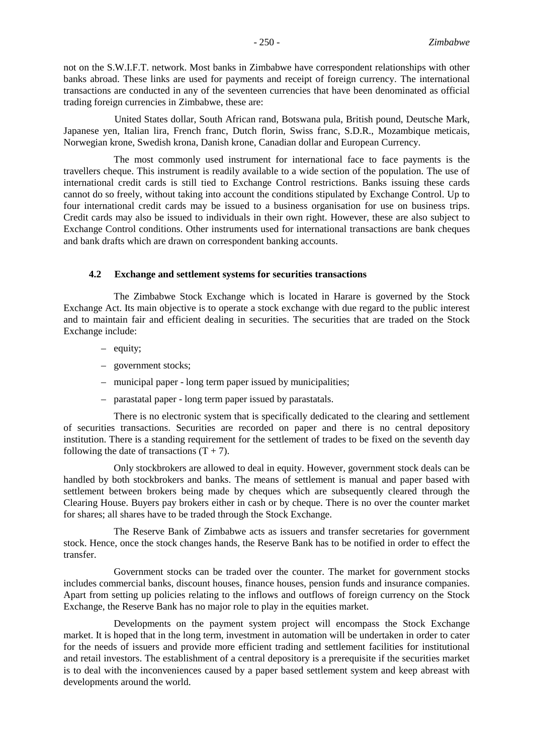not on the S.W.I.F.T. network. Most banks in Zimbabwe have correspondent relationships with other banks abroad. These links are used for payments and receipt of foreign currency. The international transactions are conducted in any of the seventeen currencies that have been denominated as official trading foreign currencies in Zimbabwe, these are:

United States dollar, South African rand, Botswana pula, British pound, Deutsche Mark, Japanese yen, Italian lira, French franc, Dutch florin, Swiss franc, S.D.R., Mozambique meticais, Norwegian krone, Swedish krona, Danish krone, Canadian dollar and European Currency.

The most commonly used instrument for international face to face payments is the travellers cheque. This instrument is readily available to a wide section of the population. The use of international credit cards is still tied to Exchange Control restrictions. Banks issuing these cards cannot do so freely, without taking into account the conditions stipulated by Exchange Control. Up to four international credit cards may be issued to a business organisation for use on business trips. Credit cards may also be issued to individuals in their own right. However, these are also subject to Exchange Control conditions. Other instruments used for international transactions are bank cheques and bank drafts which are drawn on correspondent banking accounts.

#### **4.2 Exchange and settlement systems for securities transactions**

The Zimbabwe Stock Exchange which is located in Harare is governed by the Stock Exchange Act. Its main objective is to operate a stock exchange with due regard to the public interest and to maintain fair and efficient dealing in securities. The securities that are traded on the Stock Exchange include:

- equity;
- government stocks;
- municipal paper long term paper issued by municipalities;
- parastatal paper long term paper issued by parastatals.

There is no electronic system that is specifically dedicated to the clearing and settlement of securities transactions. Securities are recorded on paper and there is no central depository institution. There is a standing requirement for the settlement of trades to be fixed on the seventh day following the date of transactions  $(T + 7)$ .

Only stockbrokers are allowed to deal in equity. However, government stock deals can be handled by both stockbrokers and banks. The means of settlement is manual and paper based with settlement between brokers being made by cheques which are subsequently cleared through the Clearing House. Buyers pay brokers either in cash or by cheque. There is no over the counter market for shares; all shares have to be traded through the Stock Exchange.

The Reserve Bank of Zimbabwe acts as issuers and transfer secretaries for government stock. Hence, once the stock changes hands, the Reserve Bank has to be notified in order to effect the transfer.

Government stocks can be traded over the counter. The market for government stocks includes commercial banks, discount houses, finance houses, pension funds and insurance companies. Apart from setting up policies relating to the inflows and outflows of foreign currency on the Stock Exchange, the Reserve Bank has no major role to play in the equities market.

Developments on the payment system project will encompass the Stock Exchange market. It is hoped that in the long term, investment in automation will be undertaken in order to cater for the needs of issuers and provide more efficient trading and settlement facilities for institutional and retail investors. The establishment of a central depository is a prerequisite if the securities market is to deal with the inconveniences caused by a paper based settlement system and keep abreast with developments around the world.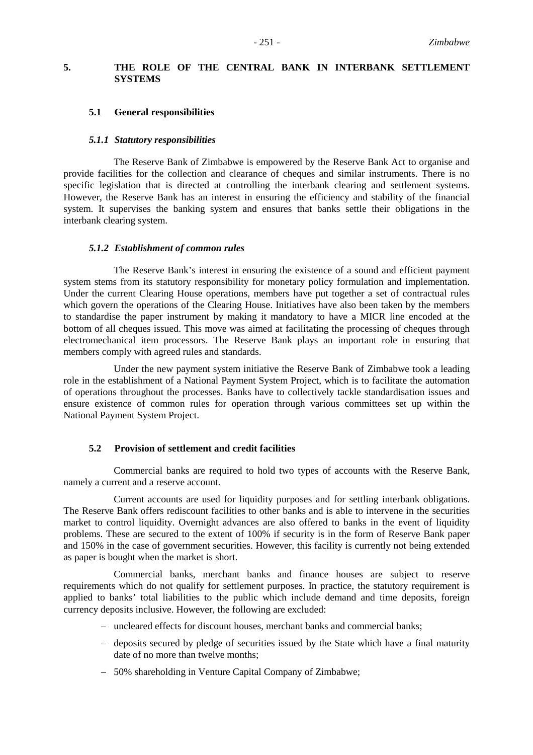## **5. THE ROLE OF THE CENTRAL BANK IN INTERBANK SETTLEMENT SYSTEMS**

#### **5.1 General responsibilities**

#### *5.1.1 Statutory responsibilities*

The Reserve Bank of Zimbabwe is empowered by the Reserve Bank Act to organise and provide facilities for the collection and clearance of cheques and similar instruments. There is no specific legislation that is directed at controlling the interbank clearing and settlement systems. However, the Reserve Bank has an interest in ensuring the efficiency and stability of the financial system. It supervises the banking system and ensures that banks settle their obligations in the interbank clearing system.

#### *5.1.2 Establishment of common rules*

The Reserve Bank's interest in ensuring the existence of a sound and efficient payment system stems from its statutory responsibility for monetary policy formulation and implementation. Under the current Clearing House operations, members have put together a set of contractual rules which govern the operations of the Clearing House. Initiatives have also been taken by the members to standardise the paper instrument by making it mandatory to have a MICR line encoded at the bottom of all cheques issued. This move was aimed at facilitating the processing of cheques through electromechanical item processors. The Reserve Bank plays an important role in ensuring that members comply with agreed rules and standards.

Under the new payment system initiative the Reserve Bank of Zimbabwe took a leading role in the establishment of a National Payment System Project, which is to facilitate the automation of operations throughout the processes. Banks have to collectively tackle standardisation issues and ensure existence of common rules for operation through various committees set up within the National Payment System Project.

#### **5.2 Provision of settlement and credit facilities**

Commercial banks are required to hold two types of accounts with the Reserve Bank, namely a current and a reserve account.

Current accounts are used for liquidity purposes and for settling interbank obligations. The Reserve Bank offers rediscount facilities to other banks and is able to intervene in the securities market to control liquidity. Overnight advances are also offered to banks in the event of liquidity problems. These are secured to the extent of 100% if security is in the form of Reserve Bank paper and 150% in the case of government securities. However, this facility is currently not being extended as paper is bought when the market is short.

Commercial banks, merchant banks and finance houses are subject to reserve requirements which do not qualify for settlement purposes. In practice, the statutory requirement is applied to banks' total liabilities to the public which include demand and time deposits, foreign currency deposits inclusive. However, the following are excluded:

- uncleared effects for discount houses, merchant banks and commercial banks;
- deposits secured by pledge of securities issued by the State which have a final maturity date of no more than twelve months;
- 50% shareholding in Venture Capital Company of Zimbabwe;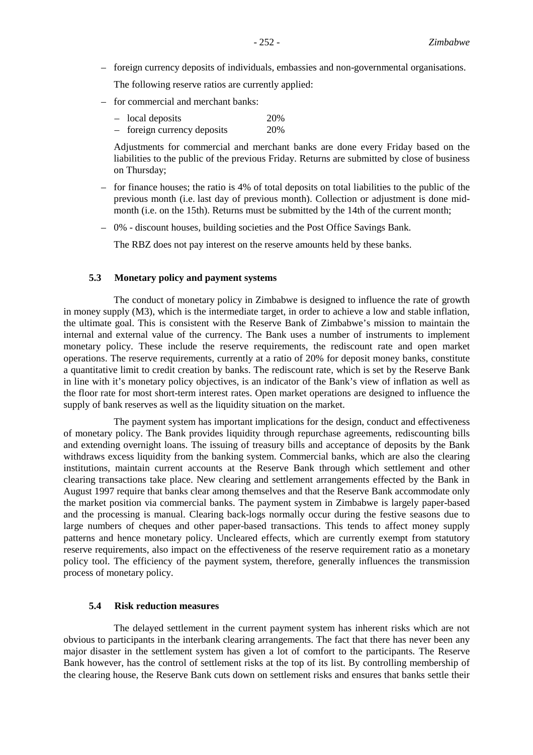– foreign currency deposits of individuals, embassies and non-governmental organisations.

The following reserve ratios are currently applied:

- for commercial and merchant banks:
	- local deposits 20%
	- foreign currency deposits 20%

Adjustments for commercial and merchant banks are done every Friday based on the liabilities to the public of the previous Friday. Returns are submitted by close of business on Thursday;

- for finance houses; the ratio is 4% of total deposits on total liabilities to the public of the previous month (i.e. last day of previous month). Collection or adjustment is done midmonth (i.e. on the 15th). Returns must be submitted by the 14th of the current month;
- 0% discount houses, building societies and the Post Office Savings Bank.

The RBZ does not pay interest on the reserve amounts held by these banks.

#### **5.3 Monetary policy and payment systems**

The conduct of monetary policy in Zimbabwe is designed to influence the rate of growth in money supply (M3), which is the intermediate target, in order to achieve a low and stable inflation, the ultimate goal. This is consistent with the Reserve Bank of Zimbabwe's mission to maintain the internal and external value of the currency. The Bank uses a number of instruments to implement monetary policy. These include the reserve requirements, the rediscount rate and open market operations. The reserve requirements, currently at a ratio of 20% for deposit money banks, constitute a quantitative limit to credit creation by banks. The rediscount rate, which is set by the Reserve Bank in line with it's monetary policy objectives, is an indicator of the Bank's view of inflation as well as the floor rate for most short-term interest rates. Open market operations are designed to influence the supply of bank reserves as well as the liquidity situation on the market.

The payment system has important implications for the design, conduct and effectiveness of monetary policy. The Bank provides liquidity through repurchase agreements, rediscounting bills and extending overnight loans. The issuing of treasury bills and acceptance of deposits by the Bank withdraws excess liquidity from the banking system. Commercial banks, which are also the clearing institutions, maintain current accounts at the Reserve Bank through which settlement and other clearing transactions take place. New clearing and settlement arrangements effected by the Bank in August 1997 require that banks clear among themselves and that the Reserve Bank accommodate only the market position via commercial banks. The payment system in Zimbabwe is largely paper-based and the processing is manual. Clearing back-logs normally occur during the festive seasons due to large numbers of cheques and other paper-based transactions. This tends to affect money supply patterns and hence monetary policy. Uncleared effects, which are currently exempt from statutory reserve requirements, also impact on the effectiveness of the reserve requirement ratio as a monetary policy tool. The efficiency of the payment system, therefore, generally influences the transmission process of monetary policy.

#### **5.4 Risk reduction measures**

The delayed settlement in the current payment system has inherent risks which are not obvious to participants in the interbank clearing arrangements. The fact that there has never been any major disaster in the settlement system has given a lot of comfort to the participants. The Reserve Bank however, has the control of settlement risks at the top of its list. By controlling membership of the clearing house, the Reserve Bank cuts down on settlement risks and ensures that banks settle their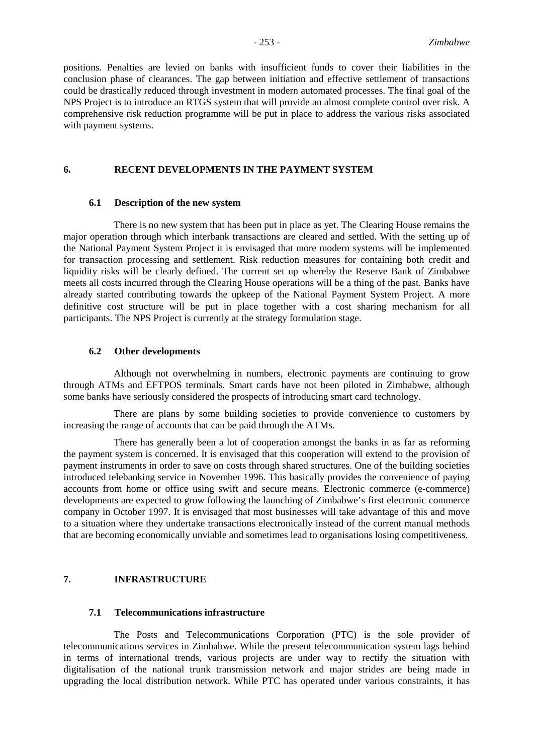positions. Penalties are levied on banks with insufficient funds to cover their liabilities in the conclusion phase of clearances. The gap between initiation and effective settlement of transactions could be drastically reduced through investment in modern automated processes. The final goal of the NPS Project is to introduce an RTGS system that will provide an almost complete control over risk. A comprehensive risk reduction programme will be put in place to address the various risks associated with payment systems.

## **6. RECENT DEVELOPMENTS IN THE PAYMENT SYSTEM**

### **6.1 Description of the new system**

There is no new system that has been put in place as yet. The Clearing House remains the major operation through which interbank transactions are cleared and settled. With the setting up of the National Payment System Project it is envisaged that more modern systems will be implemented for transaction processing and settlement. Risk reduction measures for containing both credit and liquidity risks will be clearly defined. The current set up whereby the Reserve Bank of Zimbabwe meets all costs incurred through the Clearing House operations will be a thing of the past. Banks have already started contributing towards the upkeep of the National Payment System Project. A more definitive cost structure will be put in place together with a cost sharing mechanism for all participants. The NPS Project is currently at the strategy formulation stage.

### **6.2 Other developments**

Although not overwhelming in numbers, electronic payments are continuing to grow through ATMs and EFTPOS terminals. Smart cards have not been piloted in Zimbabwe, although some banks have seriously considered the prospects of introducing smart card technology.

There are plans by some building societies to provide convenience to customers by increasing the range of accounts that can be paid through the ATMs.

There has generally been a lot of cooperation amongst the banks in as far as reforming the payment system is concerned. It is envisaged that this cooperation will extend to the provision of payment instruments in order to save on costs through shared structures. One of the building societies introduced telebanking service in November 1996. This basically provides the convenience of paying accounts from home or office using swift and secure means. Electronic commerce (e-commerce) developments are expected to grow following the launching of Zimbabwe's first electronic commerce company in October 1997. It is envisaged that most businesses will take advantage of this and move to a situation where they undertake transactions electronically instead of the current manual methods that are becoming economically unviable and sometimes lead to organisations losing competitiveness.

### **7. INFRASTRUCTURE**

## **7.1 Telecommunications infrastructure**

The Posts and Telecommunications Corporation (PTC) is the sole provider of telecommunications services in Zimbabwe. While the present telecommunication system lags behind in terms of international trends, various projects are under way to rectify the situation with digitalisation of the national trunk transmission network and major strides are being made in upgrading the local distribution network. While PTC has operated under various constraints, it has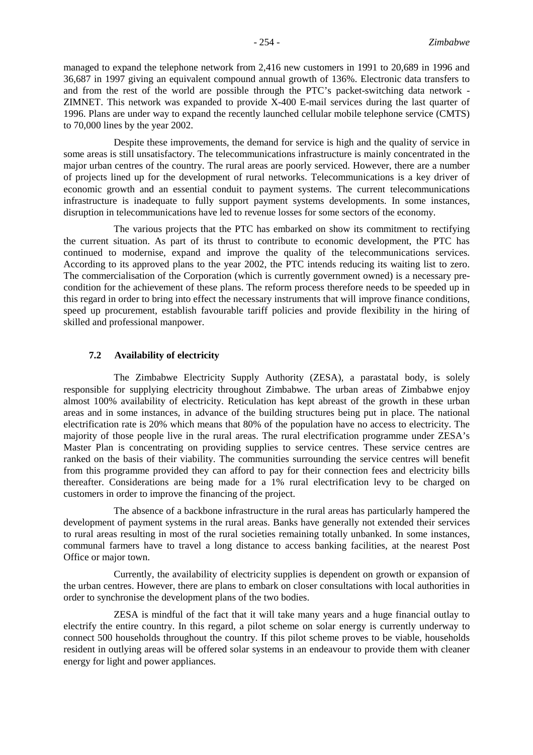managed to expand the telephone network from 2,416 new customers in 1991 to 20,689 in 1996 and 36,687 in 1997 giving an equivalent compound annual growth of 136%. Electronic data transfers to and from the rest of the world are possible through the PTC's packet-switching data network - ZIMNET. This network was expanded to provide X-400 E-mail services during the last quarter of 1996. Plans are under way to expand the recently launched cellular mobile telephone service (CMTS) to 70,000 lines by the year 2002.

Despite these improvements, the demand for service is high and the quality of service in some areas is still unsatisfactory. The telecommunications infrastructure is mainly concentrated in the major urban centres of the country. The rural areas are poorly serviced. However, there are a number of projects lined up for the development of rural networks. Telecommunications is a key driver of economic growth and an essential conduit to payment systems. The current telecommunications infrastructure is inadequate to fully support payment systems developments. In some instances, disruption in telecommunications have led to revenue losses for some sectors of the economy.

The various projects that the PTC has embarked on show its commitment to rectifying the current situation. As part of its thrust to contribute to economic development, the PTC has continued to modernise, expand and improve the quality of the telecommunications services. According to its approved plans to the year 2002, the PTC intends reducing its waiting list to zero. The commercialisation of the Corporation (which is currently government owned) is a necessary precondition for the achievement of these plans. The reform process therefore needs to be speeded up in this regard in order to bring into effect the necessary instruments that will improve finance conditions, speed up procurement, establish favourable tariff policies and provide flexibility in the hiring of skilled and professional manpower.

#### **7.2 Availability of electricity**

The Zimbabwe Electricity Supply Authority (ZESA), a parastatal body, is solely responsible for supplying electricity throughout Zimbabwe. The urban areas of Zimbabwe enjoy almost 100% availability of electricity. Reticulation has kept abreast of the growth in these urban areas and in some instances, in advance of the building structures being put in place. The national electrification rate is 20% which means that 80% of the population have no access to electricity. The majority of those people live in the rural areas. The rural electrification programme under ZESA's Master Plan is concentrating on providing supplies to service centres. These service centres are ranked on the basis of their viability. The communities surrounding the service centres will benefit from this programme provided they can afford to pay for their connection fees and electricity bills thereafter. Considerations are being made for a 1% rural electrification levy to be charged on customers in order to improve the financing of the project.

The absence of a backbone infrastructure in the rural areas has particularly hampered the development of payment systems in the rural areas. Banks have generally not extended their services to rural areas resulting in most of the rural societies remaining totally unbanked. In some instances, communal farmers have to travel a long distance to access banking facilities, at the nearest Post Office or major town.

Currently, the availability of electricity supplies is dependent on growth or expansion of the urban centres. However, there are plans to embark on closer consultations with local authorities in order to synchronise the development plans of the two bodies.

ZESA is mindful of the fact that it will take many years and a huge financial outlay to electrify the entire country. In this regard, a pilot scheme on solar energy is currently underway to connect 500 households throughout the country. If this pilot scheme proves to be viable, households resident in outlying areas will be offered solar systems in an endeavour to provide them with cleaner energy for light and power appliances.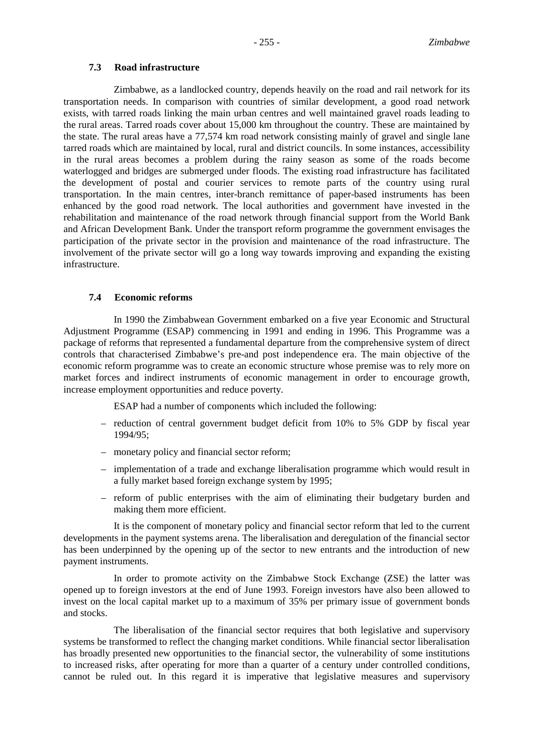## **7.3 Road infrastructure**

Zimbabwe, as a landlocked country, depends heavily on the road and rail network for its transportation needs. In comparison with countries of similar development, a good road network exists, with tarred roads linking the main urban centres and well maintained gravel roads leading to the rural areas. Tarred roads cover about 15,000 km throughout the country. These are maintained by the state. The rural areas have a 77,574 km road network consisting mainly of gravel and single lane tarred roads which are maintained by local, rural and district councils. In some instances, accessibility in the rural areas becomes a problem during the rainy season as some of the roads become waterlogged and bridges are submerged under floods. The existing road infrastructure has facilitated the development of postal and courier services to remote parts of the country using rural transportation. In the main centres, inter-branch remittance of paper-based instruments has been enhanced by the good road network. The local authorities and government have invested in the rehabilitation and maintenance of the road network through financial support from the World Bank and African Development Bank. Under the transport reform programme the government envisages the participation of the private sector in the provision and maintenance of the road infrastructure. The involvement of the private sector will go a long way towards improving and expanding the existing infrastructure.

#### **7.4 Economic reforms**

In 1990 the Zimbabwean Government embarked on a five year Economic and Structural Adjustment Programme (ESAP) commencing in 1991 and ending in 1996. This Programme was a package of reforms that represented a fundamental departure from the comprehensive system of direct controls that characterised Zimbabwe's pre-and post independence era. The main objective of the economic reform programme was to create an economic structure whose premise was to rely more on market forces and indirect instruments of economic management in order to encourage growth, increase employment opportunities and reduce poverty.

ESAP had a number of components which included the following:

- reduction of central government budget deficit from 10% to 5% GDP by fiscal year 1994/95;
- monetary policy and financial sector reform;
- implementation of a trade and exchange liberalisation programme which would result in a fully market based foreign exchange system by 1995;
- reform of public enterprises with the aim of eliminating their budgetary burden and making them more efficient.

It is the component of monetary policy and financial sector reform that led to the current developments in the payment systems arena. The liberalisation and deregulation of the financial sector has been underpinned by the opening up of the sector to new entrants and the introduction of new payment instruments.

In order to promote activity on the Zimbabwe Stock Exchange (ZSE) the latter was opened up to foreign investors at the end of June 1993. Foreign investors have also been allowed to invest on the local capital market up to a maximum of 35% per primary issue of government bonds and stocks.

The liberalisation of the financial sector requires that both legislative and supervisory systems be transformed to reflect the changing market conditions. While financial sector liberalisation has broadly presented new opportunities to the financial sector, the vulnerability of some institutions to increased risks, after operating for more than a quarter of a century under controlled conditions, cannot be ruled out. In this regard it is imperative that legislative measures and supervisory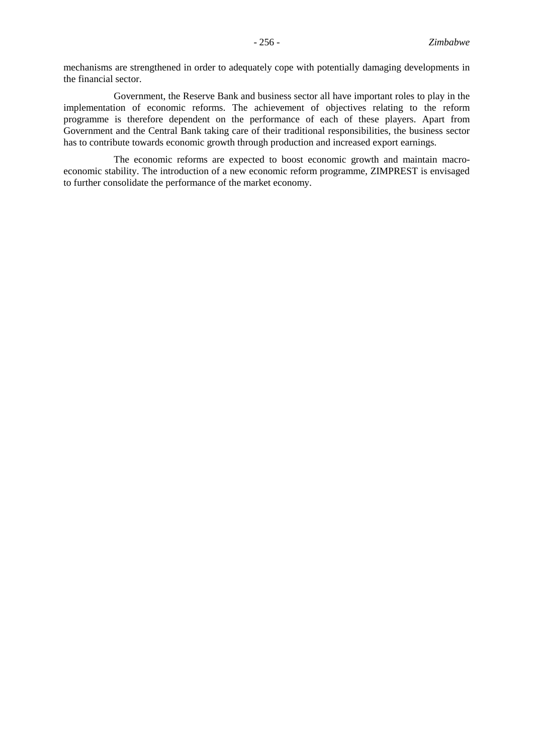mechanisms are strengthened in order to adequately cope with potentially damaging developments in the financial sector.

Government, the Reserve Bank and business sector all have important roles to play in the implementation of economic reforms. The achievement of objectives relating to the reform programme is therefore dependent on the performance of each of these players. Apart from Government and the Central Bank taking care of their traditional responsibilities, the business sector has to contribute towards economic growth through production and increased export earnings.

The economic reforms are expected to boost economic growth and maintain macroeconomic stability. The introduction of a new economic reform programme, ZIMPREST is envisaged to further consolidate the performance of the market economy.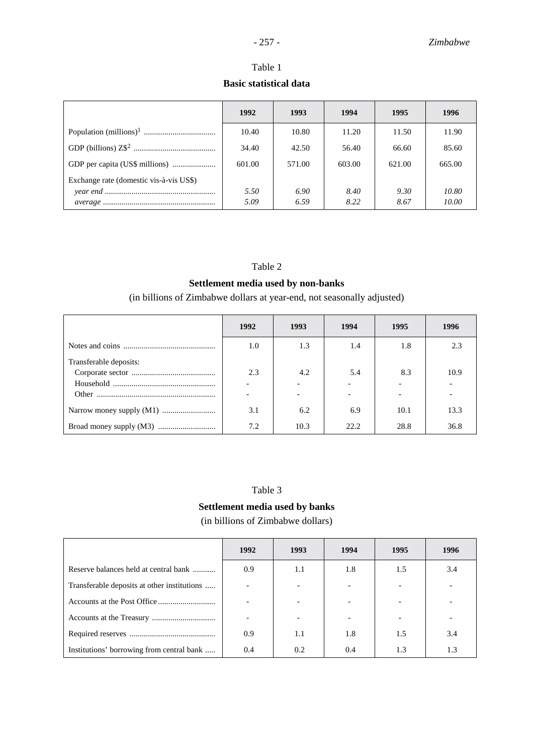## Table 1 **Basic statistical data**

|                                         | 1992   | 1993   | 1994   | 1995   | 1996   |
|-----------------------------------------|--------|--------|--------|--------|--------|
|                                         | 10.40  | 10.80  | 11.20  | 11.50  | 11.90  |
|                                         | 34.40  | 42.50  | 56.40  | 66.60  | 85.60  |
|                                         | 601.00 | 571.00 | 603.00 | 621.00 | 665.00 |
| Exchange rate (domestic vis-à-vis US\$) |        |        |        |        |        |
|                                         | 5.50   | 6.90   | 8.40   | 9.30   | 10.80  |
|                                         | 5.09   | 6.59   | 8.22   | 8.67   | 10.00  |

## Table 2

## **Settlement media used by non-banks**

(in billions of Zimbabwe dollars at year-end, not seasonally adjusted)

|                        | 1992 | 1993 | 1994 | 1995 | 1996 |
|------------------------|------|------|------|------|------|
|                        | 1.0  | 1.3  | 1.4  | 1.8  | 2.3  |
| Transferable deposits: |      |      |      |      |      |
|                        | 2.3  | 4.2  | 5.4  | 8.3  | 10.9 |
|                        |      |      |      |      |      |
|                        |      |      |      |      |      |
|                        | 3.1  | 6.2  | 6.9  | 10.1 | 13.3 |
|                        | 7.2  | 10.3 | 22.2 | 28.8 | 36.8 |

## Table 3

## **Settlement media used by banks** (in billions of Zimbabwe dollars)

|                                             | 1992 | 1993 | 1994 | 1995 | 1996 |
|---------------------------------------------|------|------|------|------|------|
| Reserve balances held at central bank       | 0.9  | 1.1  | 1.8  | 1.5  | 3.4  |
| Transferable deposits at other institutions |      |      |      |      |      |
|                                             |      |      |      |      |      |
|                                             |      |      |      |      |      |
|                                             | 0.9  | 1.1  | 1.8  | 1.5  | 3.4  |
| Institutions' borrowing from central bank   | 0.4  | 0.2  | 0.4  | 1.3  | 1.3  |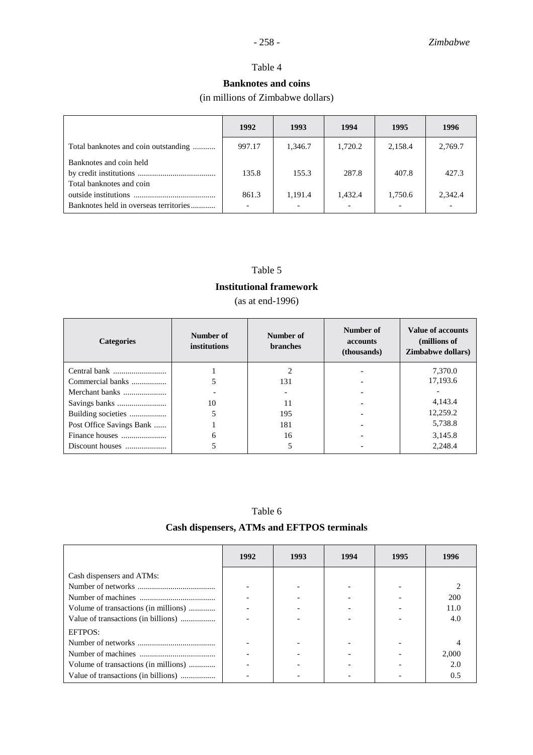## Table 4

## **Banknotes and coins**

(in millions of Zimbabwe dollars)

|                                        | 1992   | 1993                     | 1994    | 1995    | 1996    |
|----------------------------------------|--------|--------------------------|---------|---------|---------|
| Total banknotes and coin outstanding   | 997.17 | 1,346.7                  | 1,720.2 | 2,158.4 | 2,769.7 |
| Banknotes and coin held                | 135.8  | 155.3                    | 287.8   | 407.8   | 427.3   |
| Total banknotes and coin               | 861.3  | 1,191.4                  | 1,432.4 | 1,750.6 | 2,342.4 |
| Banknotes held in overseas territories |        | $\overline{\phantom{0}}$ |         |         |         |

## Table 5

#### **Institutional framework**

(as at end-1996)

| <b>Categories</b>        | Number of<br>institutions | Number of<br><b>branches</b> | Number of<br><b>accounts</b><br>(thousands) | Value of accounts<br>(millions of<br><b>Zimbabwe dollars</b> ) |
|--------------------------|---------------------------|------------------------------|---------------------------------------------|----------------------------------------------------------------|
|                          |                           |                              |                                             | 7.370.0                                                        |
| Commercial banks         |                           | 131                          |                                             | 17,193.6                                                       |
| Merchant banks           |                           |                              |                                             |                                                                |
|                          | 10                        | 11                           |                                             | 4,143.4                                                        |
|                          |                           | 195                          |                                             | 12,259.2                                                       |
| Post Office Savings Bank |                           | 181                          |                                             | 5,738.8                                                        |
|                          | 6                         | 16                           |                                             | 3,145.8                                                        |
|                          |                           |                              |                                             | 2,248.4                                                        |

| Table | <sub>0</sub> |
|-------|--------------|
|-------|--------------|

## **Cash dispensers, ATMs and EFTPOS terminals**

|                                      | 1992 | 1993 | 1994 | 1995 | 1996  |
|--------------------------------------|------|------|------|------|-------|
| Cash dispensers and ATMs:            |      |      |      |      |       |
|                                      |      |      |      |      |       |
|                                      |      |      |      |      | 200   |
| Volume of transactions (in millions) |      |      |      |      | 11.0  |
| Value of transactions (in billions)  |      |      |      |      | 4.0   |
| EFTPOS:                              |      |      |      |      |       |
|                                      |      |      |      |      |       |
|                                      |      |      |      |      | 2,000 |
| Volume of transactions (in millions) |      |      |      |      | 2.0   |
| Value of transactions (in billions)  |      |      |      |      | 0.5   |